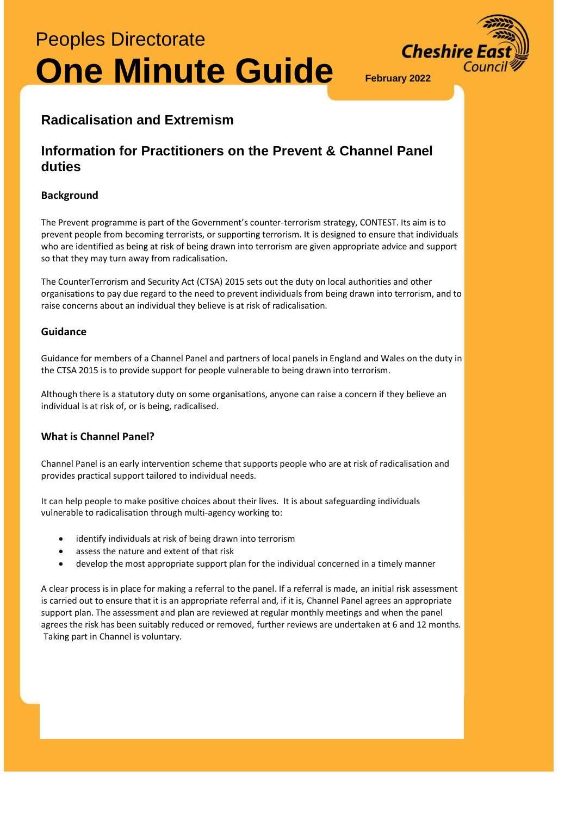# Peoples Directorate **One Minute Guide** February 2022



## **Radicalisation and Extremism**

### **Information for Practitioners on the Prevent & Channel Panel duties**

### **Background**

The Prevent programme is part of the Government's counter-terrorism strategy, CONTEST. Its aim is to prevent people from becoming terrorists, or supporting terrorism. It is designed to ensure that individuals who are identified as being at risk of being drawn into terrorism are given appropriate advice and support so that they may turn away from radicalisation.

The CounterTerrorism and Security Act (CTSA) 2015 sets out the duty on local authorities and other organisations to pay due regard to the need to prevent individuals from being drawn into terrorism, and to raise concerns about an individual they believe is at risk of radicalisation.

### **Guidance**

Guidance for members of a Channel Panel and partners of local panels in England and Wales on the duty in the CTSA 2015 is to provide support for people vulnerable to being drawn into terrorism.

Although there is a statutory duty on some organisations, anyone can raise a concern if they believe an individual is at risk of, or is being, radicalised.

### **What is Channel Panel?**

Channel Panel is an early intervention scheme that supports people who are at risk of radicalisation and provides practical support tailored to individual needs.

It can help people to make positive choices about their lives. It is about safeguarding individuals vulnerable to radicalisation through multi-agency working to:

- identify individuals at risk of being drawn into terrorism
- assess the nature and extent of that risk
- develop the most appropriate support plan for the individual concerned in a timely manner

A clear process is in place for making a referral to the panel. If a referral is made, an initial risk assessment is carried out to ensure that it is an appropriate referral and, if it is, Channel Panel agrees an appropriate support plan. The assessment and plan are reviewed at regular monthly meetings and when the panel agrees the risk has been suitably reduced or removed, further reviews are undertaken at 6 and 12 months. Taking part in Channel is voluntary.